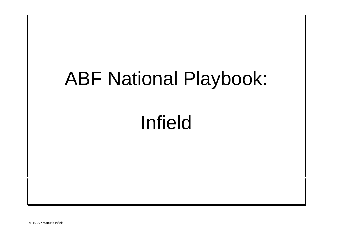# ABF National Playbook: Infield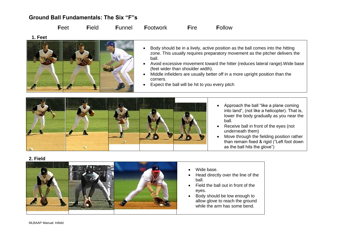## **Ground Ball Fundamentals: The Six "F"s**

**F**eet **F**ield **F**unnel **F**ootwork **F**ire **F**ollow

**1. Feet**



- Body should be in a lively, active position as the ball comes into the hitting zone. This usually requires preparatory movement as the pitcher delivers the ball.
- Avoid excessive movement toward the hitter (reduces lateral range).Wide base (feet wider than shoulder width).
- Middle infielders are usually better off in a more upright position than the corners.
- Expect the ball will be hit to you every pitch



- Approach the ball "like a plane coming into land", (not like a helicopter). That is, lower the body gradually as you near the ball.
- Receive ball in front of the eyes (not underneath them)
- Move through the fielding position rather than remain fixed & rigid ("Left foot down as the ball hits the glove")

**2. Field**



- Wide base.
- Head directly over the line of the ball.
- Field the ball out in front of the eyes.
- Body should be low enough to allow glove to reach the ground while the arm has some bend.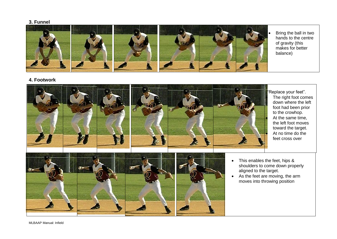### **3. Funnel**



**4. Footwork**



MLBAAP Manual: Infield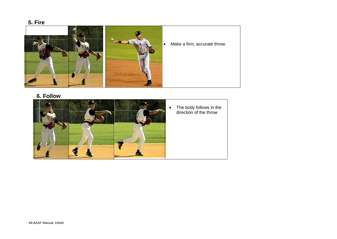# **5. Fire**



# **6. Follow**

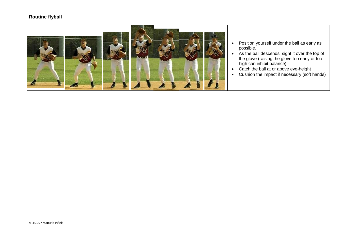### **Routine flyball**



- Position yourself under the ball as early as possible.
- As the ball descends, sight it over the top of the glove (raising the glove too early or too high can inhibit balance)
- Catch the ball at or above eye-height
- Cushion the impact if necessary (soft hands)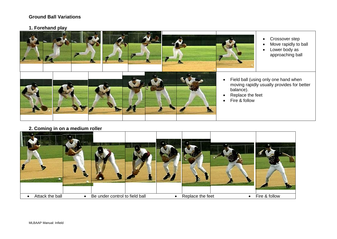### **Ground Ball Variations**

### **1. Forehand play**



- Crossover step
- Move rapidly to ball
- Lower body as approaching ball
- Field ball (using only one hand when moving rapidly usually provides for better
- Replace the feet
- Fire & follow

**2. Coming in on a medium roller**

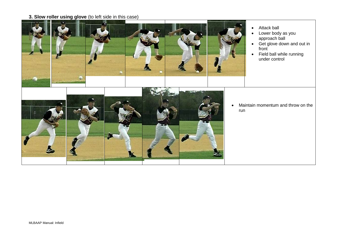# **3. Slow roller using glove** (to left side in this case)

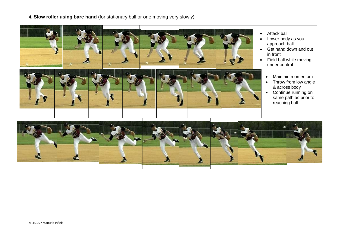**4. Slow roller using bare hand** (for stationary ball or one moving very slowly)

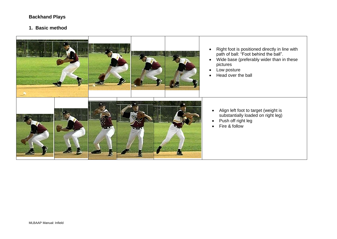# **Backhand Plays**

### **1. Basic method**

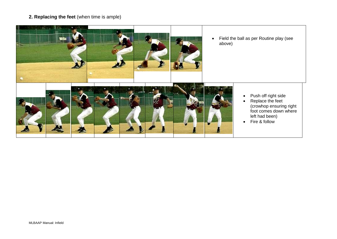### **2. Replacing the feet** (when time is ample)

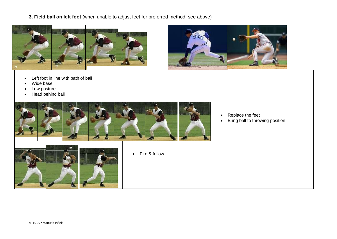**3. Field ball on left foot** (when unable to adjust feet for preferred method; see above)



- Left foot in line with path of ball
- Wide base
- Low posture
- Head behind ball

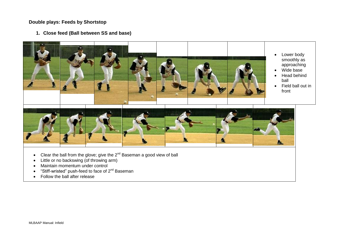### **Double plays: Feeds by Shortstop**

**1. Close feed (Ball between SS and base)**



- Clear the ball from the glove; give the  $2^{nd}$  Baseman a good view of ball
- Little or no backswing (of throwing arm)
- Maintain momentum under control
- $\bullet$  "Stiff-wristed" push-feed to face of  $2^{nd}$  Baseman
- Follow the ball after release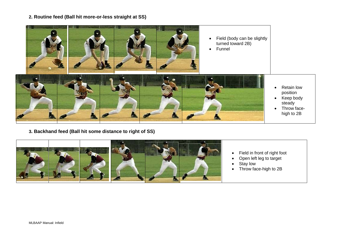**2. Routine feed (Ball hit more-or-less straight at SS)**



**3. Backhand feed (Ball hit some distance to right of SS)**